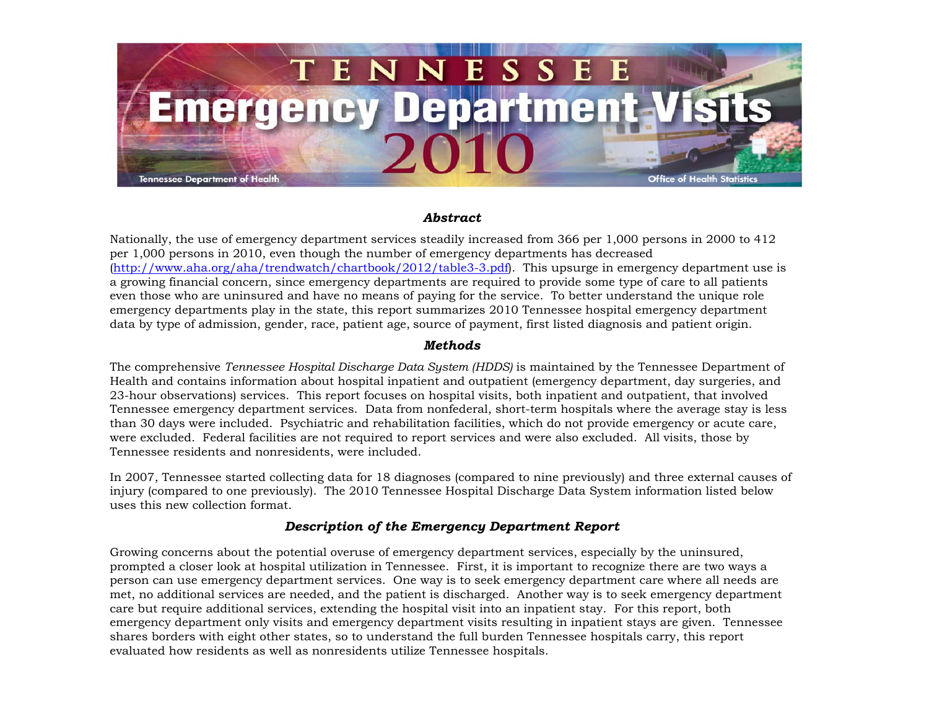

## *Abstract*

Nationally, the use of emergency department services steadily increased from 366 per 1,000 persons in 2000 to 412 per 1,000 persons in 2010, even though the number of emergency departments has decreased (<http://www.aha.org/aha/trendwatch/chartbook/2012/table3-3.pdf>). This upsurge in emergency department use is a growing financial concern, since emergency departments are required to provide some type of care to all patients even those who are uninsured and have no means of paying for the service. To better understand the unique role emergency departments play in the state, this report summarizes 2010 Tennessee hospital emergency department data by type of admission, gender, race, patient age, source of payment, first listed diagnosis and patient origin.

## *Methods*

The comprehensive *Tennessee Hospital Discharge Data System (HDDS)* is maintained by the Tennessee Department of Health and contains information about hospital inpatient and outpatient (emergency department, day surgeries, and 23-hour observations) services. This report focuses on hospital visits, both inpatient and outpatient, that involved Tennessee emergency department services. Data from nonfederal, short-term hospitals where the average stay is less than 30 days were included. Psychiatric and rehabilitation facilities, which do not provide emergency or acute care, were excluded. Federal facilities are not required to report services and were also excluded. All visits, those by Tennessee residents and nonresidents, were included.

In 2007, Tennessee started collecting data for 18 diagnoses (compared to nine previously) and three external causes of injury (compared to one previously). The 2010 Tennessee Hospital Discharge Data System information listed below uses this new collection format.

## *Description of the Emergency Department Report*

Growing concerns about the potential overuse of emergency department services, especially by the uninsured, prompted a closer look at hospital utilization in Tennessee. First, it is important to recognize there are two ways a person can use emergency department services. One way is to seek emergency department care where all needs are met, no additional services are needed, and the patient is discharged. Another way is to seek emergency department care but require additional services, extending the hospital visit into an inpatient stay. For this report, both emergency department only visits and emergency department visits resulting in inpatient stays are given. Tennessee shares borders with eight other states, so to understand the full burden Tennessee hospitals carry, this report evaluated how residents as well as nonresidents utilize Tennessee hospitals.